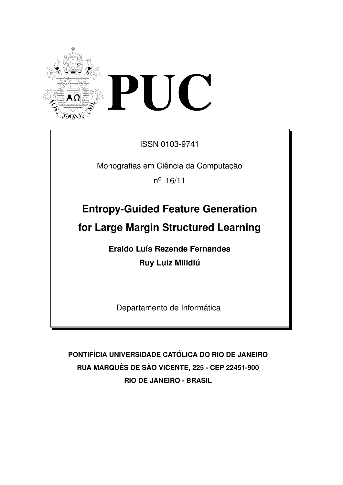

ISSN 0103-9741

Monografias em Ciência da Computação

n <sup>o</sup> 16/11

# **Entropy-Guided Feature Generation**

**for Large Margin Structured Learning**

**Eraldo Luís Rezende Fernandes Ruy Luiz Milidiú** 

Departamento de Informática

**PONTIF´ICIA UNIVERSIDADE CATOLICA DO RIO DE JANEIRO ´ RUA MARQUES DE S ˆ AO VICENTE, 225 - CEP 22451-900 ˜ RIO DE JANEIRO - BRASIL**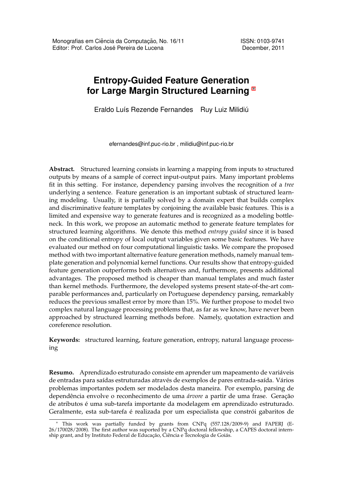# **Entropy-Guided Feature Generation for Large Margin Structured Learning** *<sup>∗</sup>*

Eraldo Luís Rezende Fernandes Ruy Luiz Milidiú

efernandes@inf.puc-rio.br , milidiu@inf.puc-rio.br

**Abstract.** Structured learning consists in learning a mapping from inputs to structured outputs by means of a sample of correct input-output pairs. Many important problems fit in this setting. For instance, dependency parsing involves the recognition of a *tree* underlying a sentence. Feature generation is an important subtask of structured learning modeling. Usually, it is partially solved by a domain expert that builds complex and discriminative feature templates by conjoining the available basic features. This is a limited and expensive way to generate features and is recognized as a modeling bottleneck. In this work, we propose an automatic method to generate feature templates for structured learning algorithms. We denote this method *entropy guided* since it is based on the conditional entropy of local output variables given some basic features. We have evaluated our method on four computational linguistic tasks. We compare the proposed method with two important alternative feature generation methods, namely manual template generation and polynomial kernel functions. Our results show that entropy-guided feature generation outperforms both alternatives and, furthermore, presents additional advantages. The proposed method is cheaper than manual templates and much faster than kernel methods. Furthermore, the developed systems present state-of-the-art comparable performances and, particularly on Portuguese dependency parsing, remarkably reduces the previous smallest error by more than 15%. We further propose to model two complex natural language processing problems that, as far as we know, have never been approached by structured learning methods before. Namely, quotation extraction and coreference resolution.

**Keywords:** structured learning, feature generation, entropy, natural language processing

**Resumo.** Aprendizado estruturado consiste em aprender um mapeamento de variaveis ´ de entradas para saídas estruturadas através de exemplos de pares entrada-saída. Vários problemas importantes podem ser modelados desta maneira. Por exemplo, parsing de dependência envolve o reconhecimento de uma árvore a partir de uma frase. Geração de atributos é uma sub-tarefa importante da modelagem em aprendizado estruturado. Geralmente, esta sub-tarefa é realizada por um especialista que constrói gabaritos de

*<sup>∗</sup>* This work was partially funded by grants from CNPq (557.128/2009-9) and FAPERJ (E-26/170028/2008). The first author was suported by a CNPq doctoral fellowship, a CAPES doctoral internship grant, and by Instituto Federal de Educação, Ciência e Tecnologia de Goiás.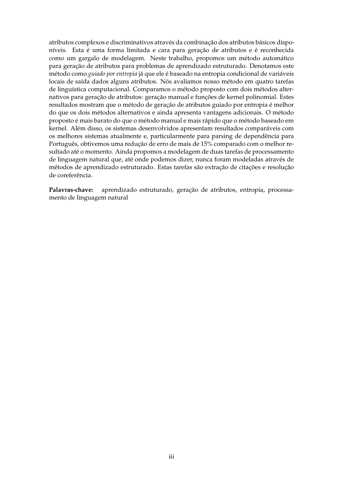atributos complexos e discriminativos através da combinação dos atributos básicos disponíveis. Esta é uma forma limitada e cara para geração de atributos e é reconhecida como um gargalo de modelagem. Neste trabalho, propomos um método automático para geração de atributos para problemas de aprendizado estruturado. Denotamos este método como *guiado por entropia* já que ele é baseado na entropia condicional de variáveis locais de saída dados alguns atributos. Nós avaliamos nosso método em quatro tarefas de linguística computacional. Comparamos o método proposto com dois métodos alternativos para geração de atributos: geração manual e funções de kernel polinomial. Estes resultados mostram que o método de geração de atributos guiado por entropia é melhor do que os dois métodos alternativos e ainda apresenta vantagens adicionais. O método proposto é mais barato do que o método manual e mais rápido que o método baseado em kernel. Além disso, os sistemas desenvolvidos apresentam resultados comparáveis com os melhores sistemas atualmente e, particularmente para parsing de dependência para Português, obtivemos uma redução de erro de mais de 15% comparado com o melhor resultado até o momento. Ainda propomos a modelagem de duas tarefas de processamento de linguagem natural que, até onde podemos dizer, nunca foram modeladas através de métodos de aprendizado estruturado. Estas tarefas são extração de citações e resolução de coreferencia. ˆ

Palavras-chave: aprendizado estruturado, geração de atributos, entropia, processamento de linguagem natural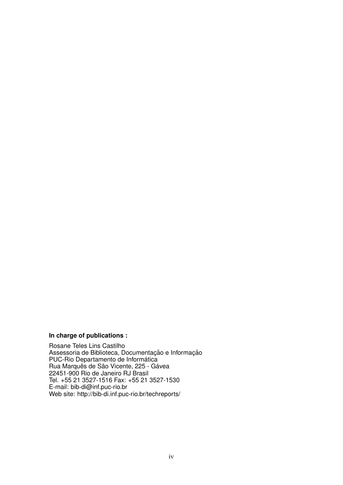#### **In charge of publications :**

Rosane Teles Lins Castilho Assessoria de Biblioteca, Documentação e Informação PUC-Rio Departamento de Informática Rua Marquês de São Vicente, 225 - Gávea 22451-900 Rio de Janeiro RJ Brasil Tel. +55 21 3527-1516 Fax: +55 21 3527-1530 E-mail: bib-di@inf.puc-rio.br Web site: http://bib-di.inf.puc-rio.br/techreports/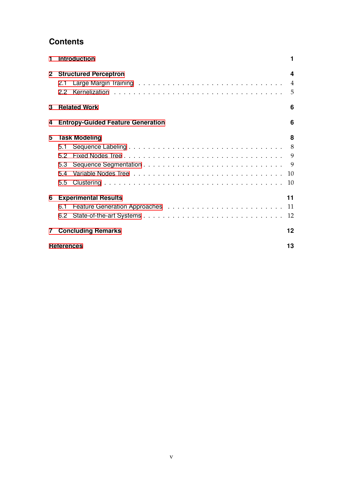# **Contents**

| 1            | <b>Introduction</b>                      |                |  |  |  |
|--------------|------------------------------------------|----------------|--|--|--|
| $\mathbf{2}$ | <b>Structured Perceptron</b>             | 4              |  |  |  |
|              | 2.1                                      | $\overline{4}$ |  |  |  |
|              | 22                                       | 5              |  |  |  |
| 3            | <b>Related Work</b>                      | 6              |  |  |  |
| 4            | <b>Entropy-Guided Feature Generation</b> | 6              |  |  |  |
| 5            | <b>Task Modeling</b>                     | 8              |  |  |  |
|              | 5.1                                      | 8              |  |  |  |
|              | 52                                       |                |  |  |  |
|              | 5.3                                      |                |  |  |  |
|              | 5.4                                      | 10             |  |  |  |
|              | 5.5                                      | 10             |  |  |  |
| 6            | <b>Experimental Results</b>              | 11             |  |  |  |
|              | 6.1                                      |                |  |  |  |
|              | 6.2                                      | 12             |  |  |  |
| 7            | <b>Concluding Remarks</b>                | 12             |  |  |  |
|              | <b>References</b>                        |                |  |  |  |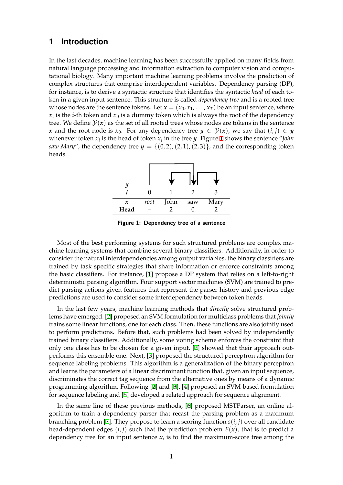# **1 Introduction**

<span id="page-5-0"></span>In the last decades, machine learning has been successfully applied on many fields from natural language processing and information extraction to computer vision and computational biology. Many important machine learning problems involve the prediction of complex structures that comprise interdependent variables. Dependency parsing (DP), for instance, is to derive a syntactic structure that identifies the syntactic *head* of each token in a given input sentence. This structure is called *dependency tree* and is a rooted tree whose nodes are the sentence tokens. Let  $x = (x_0, x_1, \ldots, x_T)$  be an input sentence, where  $x_i$  is the *i*-th token and  $x_0$  is a dummy token which is always the root of the dependency tree. We define  $\mathcal{Y}(x)$  as the set of all rooted trees whose nodes are tokens in the sentence *x* and the root node is *x*<sub>0</sub>. For any dependency tree  $y \in \mathcal{Y}(x)$ , we say that  $(i, j) \in y$ whenever token  $x_i$  is the head of token  $x_j$  in the tree  $y$ . Figure 1 shows the sentence "*John saw Mary*", the dependency tree  $y = \{(0, 2), (2, 1), (2, 3)\}\)$ , and the corresponding token heads.



**Figure 1: Dependency tree of a sentence**

Most of the best performing systems for such structured problems are complex machine learning systems that combine several binary classifiers. Additionally, in order to consider the natural interdependencies among output variables, the binary classifiers are trained by task specific strategies that share information or enforce constraints among the basic classifiers. For instance, [1] propose a DP system that relies on a left-to-right deterministic parsing algorithm. Four support vector machines (SVM) are trained to predict parsing actions given features that represent the parser history and previous edge predictions are used to consider so[me](#page-17-0) interdependency between token heads.

In the last few years, machine learning methods that *directly* solve structured problems have emerged. [2] proposed an SVM formulation for multiclass problems that *jointly* trains some linear functions, one for each class. Then, these functions are also jointly used to perform predictions. Before that, such problems had been solved by independently trained binary classifiers. Additionally, some voting scheme enforces the constraint that only one class has t[o](#page-17-1) be chosen for a given input. [2] showed that their approach outperforms this ensemble one. Next, [3] proposed the structured perceptron algorithm for sequence labeling problems. This algorithm is a generalization of the binary perceptron and learns the parameters of a linear discriminant function that, given an input sequence, discriminates the correct tag sequence from the alte[rn](#page-17-1)ative ones by means of a dynamic programming algorithm. Following [\[](#page-17-2)2] and [3], [4] proposed an SVM-based formulation for sequence labeling and [5] developed a related approach for sequence alignment.

In the same line of these previous methods, [6] proposed MSTParser, an online algorithm to train a dependency pars[er](#page-17-1) that [re](#page-17-2)c[ast](#page-17-3) the parsing problem as a maximum branching problem [7]. Th[ey](#page-17-4) propose to learn a scoring function  $s(i, j)$  over all candidate head-dependent edges  $(i, j)$  such that the prediction problem  $F(x)$ , that is to predict a depe[nd](#page-17-5)ency tree for an input sentence  $x$ , is to find the maximum-score tree among the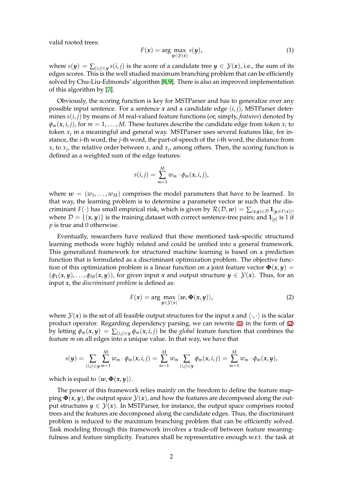valid rooted trees:

$$
F(x) = \arg\max_{y \in \mathcal{Y}(x)} s(y),\tag{1}
$$

where  $s(y) = \sum_{(i,j) \in y} s(i,j)$  is the score of a candidate tree  $y \in \mathcal{Y}(x)$ , i.e., the sum of its edges scores. This is the well studied maximum branching problem that can be efficiently solved by Chu-Liu-Edmonds' algorithm [8,9]. There is also an improved implementation of this algorithm by [7].

Obviously, the scoring function is key for MSTParser and has to generalize over any possible input sentence. For a sentence *[x](#page-17-6)* [an](#page-17-7)d a candidate edge (*i*, *j*), MSTParser determines *s*(*i*, *j*) by mean[s](#page-17-8) of *M* real-valued feature functions (or, simply, *features*) denoted by  $\varphi_m(x,i,j)$ , for  $m=1,\ldots,M$ . These features describe the candidate edge from token  $x_i$  to token *x<sup>j</sup>* in a meaningful and general way. MSTParser uses several features like, for instance, the *i*-th word, the *j*-th word, the part-of-speech of the *i*-th word, the distance from  $x_i$  to  $x_j$ , the relative order between  $x_i$  and  $x_j$ , among others. Then, the scoring function is defined as a weighted sum of the edge features:

$$
s(i,j) = \sum_{m=1}^{M} w_m \cdot \phi_m(x,i,j),
$$

where  $w = (w_1, \ldots, w_M)$  comprises the model parameters that have to be learned. In that way, the learning problem is to determine a parameter vector *w* such that the discriminant *F*( $\cdot$ ) has small empirical risk, which is given by  $\mathcal{R}(\mathcal{D}, \mathbf{w}) = \sum_{(\mathbf{x}, \mathbf{y}) \in \mathcal{D}} \mathbf{1}_{[\mathbf{y} \neq F(\mathbf{x})]}$ , where  $\mathcal{D} = \{(\pmb{x}, \pmb{y})\}$  is the training dataset with correct sentence-tree pairs; and  $\mathbf{1}_{[p]}$  is 1 if *p* is true and 0 otherwise.

Eventually, researchers have realized that these mentioned task-specific structured learning methods were highly related and could be unified into a general framework. This generalized framework for structured machine learning is based on a prediction function that is formulated as a discriminant optimization problem. The objective function of this optimization problem is a linear function on a joint feature vector  $\Phi(x, y)$  =  $(\phi_1(x, y), \ldots, \phi_M(x, y))$ , for given input *x* and output structure  $y \in \mathcal{Y}(x)$ . Thus, for an input *x*, the *discriminant problem* is defined as:

$$
F(x) = \arg\max_{y \in \mathcal{Y}(x)} \langle w, \Phi(x, y) \rangle,
$$
 (2)

where  $\mathcal{Y}(x)$  is the set of all feasible output structures for the input x and  $\langle \cdot, \cdot \rangle$  is the scalar product operator. Regarding dependency parsing, we can rewrite (1) in the form of (2) by letting  $\phi_m(x, y) = \sum_{(i,j) \in y} \phi_m(x, i, j)$  be the *global* feature function that combines the feature *m* on all edges into a unique value. In that way, we have that

$$
s(\boldsymbol{y}) = \sum_{(i,j) \in \boldsymbol{y}} \sum_{m=1}^M w_m \cdot \phi_m(x,i,j) = \sum_{m=1}^M w_m \sum_{(i,j) \in \boldsymbol{y}} \phi_m(x,i,j) = \sum_{m=1}^M w_m \cdot \phi_m(x,\boldsymbol{y}),
$$

which is equal to  $\langle w, \Phi(x, y) \rangle$ .

The power of this framework relies mainly on the freedom to define the feature mapping  $\Phi(x, y)$ , the output space  $\mathcal{Y}(x)$ , and how the features are decomposed along the output structures  $y \in \mathcal{Y}(x)$ . In MSTParser, for instance, the output space comprises rooted trees and the features are decomposed along the candidate edges. Thus, the discriminant problem is reduced to the maximum branching problem that can be efficiently solved. Task modeling through this framework involves a trade-off between feature meaningfulness and feature simplicity. Features shall be representative enough w.r.t. the task at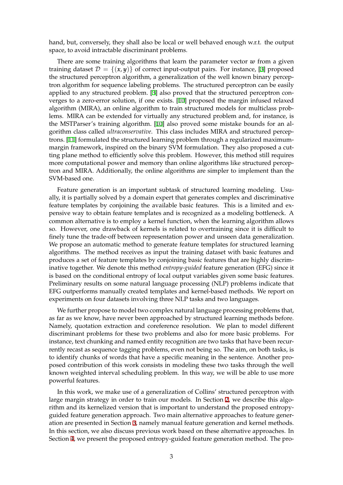hand, but, conversely, they shall also be local or well behaved enough w.r.t. the output space, to avoid intractable discriminant problems.

There are some training algorithms that learn the parameter vector *w* from a given training dataset  $\mathcal{D} = \{(x, y)\}\$  of correct input-output pairs. For instance, [3] proposed the structured perceptron algorithm, a generalization of the well known binary perceptron algorithm for sequence labeling problems. The structured perceptron can be easily applied to any structured problem. [3] also proved that the structured perceptron converges to a zero-error solution, if one exists. [10] proposed the margin inf[us](#page-17-2)ed relaxed algorithm (MIRA), an online algorithm to train structured models for multiclass problems. MIRA can be extended for virtually any structured problem and, for instance, is the MSTParser's training algorithm. [\[](#page-17-2)10] also proved some mistake bounds for an algorithm class called *ultraconservative*. This cla[ss](#page-17-9) includes MIRA and structured perceptrons. [11] formulated the structured learning problem through a regularized maximummargin framework, inspired on the binary SVM formulation. They also proposed a cutting plane method to efficiently solve [thi](#page-17-9)s problem. However, this method still requires more computational power and memory than online algorithms like structured perceptron a[nd](#page-17-10) MIRA. Additionally, the online algorithms are simpler to implement than the SVM-based one.

Feature generation is an important subtask of structured learning modeling. Usually, it is partially solved by a domain expert that generates complex and discriminative feature templates by conjoining the available basic features. This is a limited and expensive way to obtain feature templates and is recognized as a modeling bottleneck. A common alternative is to employ a kernel function, when the learning algorithm allows so. However, one drawback of kernels is related to overtraining since it is difficult to finely tune the trade-off between representation power and unseen data generalization. We propose an automatic method to generate feature templates for structured learning algorithms. The method receives as input the training dataset with basic features and produces a set of feature templates by conjoining basic features that are highly discriminative together. We denote this method *entropy-guided* feature generation (EFG) since it is based on the conditional entropy of local output variables given some basic features. Preliminary results on some natural language processing (NLP) problems indicate that EFG outperforms manually created templates and kernel-based methods. We report on experiments on four datasets involving three NLP tasks and two languages.

We further propose to model two complex natural language processing problems that, as far as we know, have never been approached by structured learning methods before. Namely, quotation extraction and coreference resolution. We plan to model different discriminant problems for these two problems and also for more basic problems. For instance, text chunking and named entity recognition are two tasks that have been recurrently recast as sequence tagging problems, even not being so. The aim, on both tasks, is to identify chunks of words that have a specific meaning in the sentence. Another proposed contribution of this work consists in modeling these two tasks through the well known weighted interval scheduling problem. In this way, we will be able to use more powerful features.

In this work, we make use of a generalization of Collins' structured perceptron with large margin strategy in order to train our models. In Section 2, we describe this algorithm and its kernelized version that is important to understand the proposed entropyguided feature generation approach. Two main alternative approaches to feature generation are presented in Section 3, namely manual feature generation and kernel methods. In this section, we also discuss previous work based on these a[lte](#page-8-0)rnative approaches. In Section 4, we present the proposed entropy-guided feature generation method. The pro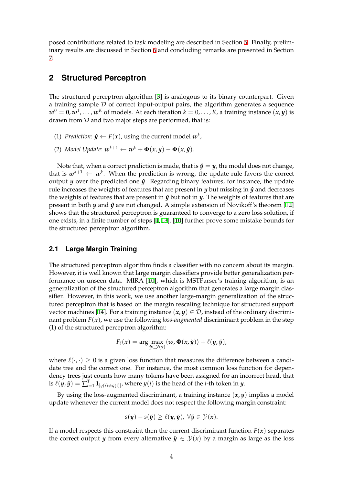posed contributions related to task modeling are described in Section 5. Finally, preliminary results are discussed in Section 6 and concluding remarks are presented in Section 7.

### **2 Structured Perceptron**

<span id="page-8-0"></span>The structured perceptron algorithm [3] is analogous to its binary counterpart. Given a training sample *D* of correct input-output pairs, the algorithm generates a sequence  $\bm{w}^0 = \bm{0}, \bm{w}^1, \dots, \bm{w}^K$  of models. At each iteration  $k = 0, \dots, K$ , a training instance  $(\bm{x}, \bm{y})$  is drawn from *D* and two major steps ar[e p](#page-17-2)erformed, that is:

- (1) *Prediction*:  $\hat{y} \leftarrow F(x)$ , using the current model  $w^k$ ,
- (2) *Model Update:*  $w^{k+1} \leftarrow w^k + \Phi(x, y) \Phi(x, \hat{y})$ .

Note that, when a correct prediction is made, that is  $\hat{y} = y$ , the model does not change, that is  $w^{k+1} \leftarrow w^k$ . When the prediction is wrong, the update rule favors the correct output *y* over the predicted one *y***ˆ**. Regarding binary features, for instance, the update rule increases the weights of features that are present in  $y$  but missing in  $\hat{y}$  and decreases the weights of features that are present in  $\hat{y}$  but not in *y*. The weights of features that are present in both *y* and *y***ˆ** are not changed. A simple extension of Novikoff's theorem [12] shows that the structured perceptron is guaranteed to converge to a zero loss solution, if one exists, in a finite number of steps [4, 13]. [10] further prove some mistake bounds for the structured perceptron algorithm.

#### **2.1 Large Margin Training**

<span id="page-8-1"></span>The structured perceptron algorithm finds a classifier with no concern about its margin. However, it is well known that large margin classifiers provide better generalization performance on unseen data. MIRA [10], which is MSTParser's training algorithm, is an generalization of the structured perceptron algorithm that generates a large margin classifier. However, in this work, we use another large-margin generalization of the structured perceptron that is based on the margin rescaling technique for structured support vector machines [14]. For a training [ins](#page-17-9)tance  $(x, y) \in \mathcal{D}$ , instead of the ordinary discriminant problem *F*(*x*), we use the following *loss-augmented* discriminant problem in the step (1) of the structured perceptron algorithm:

$$
F_{\ell}(x) = \arg \max_{\tilde{\boldsymbol{y}} \in \mathcal{Y}(x)} \langle \boldsymbol{w}, \boldsymbol{\Phi}(x, \tilde{\boldsymbol{y}}) \rangle + \ell(\boldsymbol{y}, \tilde{\boldsymbol{y}}),
$$

where  $\ell(\cdot, \cdot) \geq 0$  is a given loss function that measures the difference between a candidate tree and the correct one. For instance, the most common loss function for dependency trees just counts how many tokens have been assigned for an incorrect head, that is  $\ell(y, \tilde{y}) = \sum_{i=1}^{T} \mathbf{1}_{[y(i) \neq \tilde{y}(i)]}$ , where  $y(i)$  is the head of the *i*-th token in *y*.

By using the loss-augmented discriminant, a training instance (*x*, *y*) implies a model update whenever the current model does not respect the following margin constraint:

$$
s(\mathbf{y}) - s(\tilde{\mathbf{y}}) \ge \ell(\mathbf{y}, \tilde{\mathbf{y}}), \ \forall \tilde{\mathbf{y}} \in \mathcal{Y}(\mathbf{x}).
$$

If a model respects this constraint then the current discriminant function  $F(x)$  separates the correct output *y* from every alternative  $\tilde{\mathbf{y}} \in \mathcal{Y}(\mathbf{x})$  by a margin as large as the loss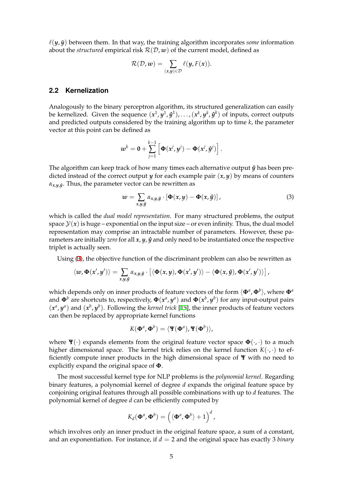$\ell(y, \tilde{y})$  between them. In that way, the training algorithm incorporates *some* information about the *structured* empirical risk  $R(D, w)$  of the current model, defined as

$$
\mathcal{R}(\mathcal{D},w) = \sum_{(x,y)\in\mathcal{D}} \ell(y,F(x)).
$$

#### **2.2 Kernelization**

<span id="page-9-0"></span>Analogously to the binary perceptron algorithm, its structured generalization can easily be kernelized. Given the sequence  $(x^1,y^1,\hat{y}^1),\ldots,(x^k,y^k,\hat{y}^k)$  of inputs, correct outputs and predicted outputs considered by the training algorithm up to time *k*, the parameter vector at this point can be defined as

$$
w^k = 0 + \sum_{j=1}^{k-1} \left[ \mathbf{\Phi}(x^j, y^j) - \mathbf{\Phi}(x^j, \hat{y}^j) \right].
$$

The algorithm can keep track of how many times each alternative output  $\hat{y}$  has been predicted instead of the correct output *y* for each example pair  $(x, y)$  by means of counters *αx*,*y*,*y***<sup>ˆ</sup>** . Thus, the parameter vector can be rewritten as

<span id="page-9-1"></span>
$$
w = \sum_{x,y,\hat{y}} \alpha_{x,y,\hat{y}} \cdot \left[ \Phi(x,y) - \Phi(x,\hat{y}) \right], \tag{3}
$$

which is called the *dual model representation*. For many structured problems, the output space  $\mathcal{Y}(x)$  is huge – exponential on the input size – or even infinity. Thus, the dual model representation may comprise an intractable number of parameters. However, these parameters are initially *zero* for all *x*, *y*, *y***ˆ** and only need to be instantiated once the respective triplet is actually seen.

Using (3), the objective function of the discriminant problem can also be rewritten as

$$
\langle w, \Phi(x',y') \rangle = \sum_{x,y,\hat{y}} \alpha_{x,y,\hat{y}} \cdot \left[ \langle \Phi(x,y), \Phi(x',y') \rangle - \langle \Phi(x,\hat{y}), \Phi(x',y') \rangle \right],
$$

which de[pe](#page-9-1)nds only on inner products of feature vectors of the form  $\langle \mathbf{\Phi}^a, \mathbf{\Phi}^b \rangle$ , where  $\mathbf{\Phi}^a$ and  $\Phi^b$  are shortcuts to, respectively,  $\Phi(x^a, y^a)$  and  $\Phi(x^b, y^b)$  for any input-output pairs  $(x^a, y^a)$  and  $(x^b, y^b)$ . Following the *kernel trick* [15], the inner products of feature vectors can then be replaced by appropriate kernel functions

$$
K(\boldsymbol{\Phi}^{a},\boldsymbol{\Phi}^{b})=\langle \mathbf{Y}(\boldsymbol{\Phi}^{a}),\mathbf{Y}(\boldsymbol{\Phi}^{b})\rangle,
$$

where  $\Psi(\cdot)$  expands elements from the original feature vector space  $\Phi(\cdot, \cdot)$  to a much higher dimensional space. The kernel trick relies on the kernel function  $K(\cdot, \cdot)$  to efficiently compute inner products in the high dimensional space of **Ψ** with no need to explicitly expand the original space of **Φ**.

The most successful kernel type for NLP problems is the *polynomial kernel*. Regarding binary features, a polynomial kernel of degree *d* expands the original feature space by conjoining original features through all possible combinations with up to *d* features. The polynomial kernel of degree *d* can be efficiently computed by

$$
K_d(\boldsymbol{\Phi}^a, \boldsymbol{\Phi}^b) = \left(\langle \boldsymbol{\Phi}^a, \boldsymbol{\Phi}^b \rangle + 1\right)^d,
$$

which involves only an inner product in the original feature space, a sum of a constant, and an exponentiation. For instance, if *d* = 2 and the original space has exactly 3 *binary*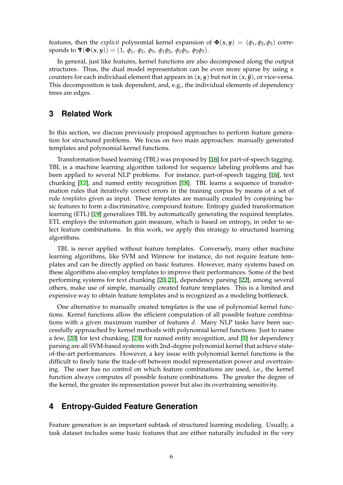features, then the *explicit* polynomial kernel expansion of  $\Phi(x, y) = (\phi_1, \phi_2, \phi_3)$  corresponds to  $\Psi(\Phi(x, y)) = (1, \phi_1, \phi_2, \phi_3, \phi_1 \phi_2, \phi_1 \phi_3, \phi_2 \phi_3).$ 

In general, just like features, kernel functions are also decomposed along the output structures. Thus, the dual model representation can be even more sparse by using *α* counters for each individual element that appears in  $(x, y)$  but not in  $(x, \hat{y})$ , or vice-versa. This decomposition is task dependent, and, e.g., the individual elements of dependency trees are edges.

### **3 Related Work**

<span id="page-10-0"></span>In this section, we discuss previously proposed approaches to perform feature generation for structured problems. We focus on two main approaches: manually generated templates and polynomial kernel functions.

Transformation based learning (TBL) was proposed by [16] for part-of-speech tagging. TBL is a machine learning algorithm tailored for sequence labeling problems and has been applied to several NLP problems. For instance, part-of-speech tagging [16], text chunking [17], and named entity recognition [18]. TBL learns a sequence of transformation rules that iteratively correct errors in the trainin[g co](#page-18-0)rpus by means of a set of rule *templates* given as input. These templates are manually created by conjoining basic features to form a discriminative, compound feature. Entropy guided transf[orm](#page-18-0)ation learning (E[TL](#page-18-1)) [19] generalizes TBL by automat[ica](#page-18-2)lly generating the required templates. ETL employs the information gain measure, which is based on entropy, in order to select feature combinations. In this work, we apply this strategy to structured learning algorithms.

TBL is never applied without feature templates. Conversely, many other machine learning algorithms, like SVM and Winnow for instance, do not require feature templates and can be directly applied on basic features. However, many systems based on these algorithms also employ templates to improve their performances. Some of the best performing systems for text chunking [20, 21], dependency parsing [22], among several others, make use of simple, manually created feature templates. This is a limited and expensive way to obtain feature templates and is recognized as a modeling bottleneck.

One alternative to manually created [te](#page-18-3)[mp](#page-18-4)lates is the use of poly[nom](#page-18-5)ial kernel functions. Kernel functions allow the efficient computation of all possible feature combinations with a given maximum number of features *d*. Many NLP tasks have been successfully approached by kernel methods with polynomial kernel functions. Just to name a few, [20] for text chunking, [23] for named entity recognition, and [1] for dependency parsing are all SVM-based systems with 2nd-degree polynomial kernel that achieve stateof-the-art performances. However, a key issue with polynomial kernel functions is the difficult to finely tune the trade-off between model representation power and overtraining. T[he](#page-18-3) user has no control [on](#page-18-6) which feature combinations are us[ed](#page-17-0), i.e., the kernel function always computes *all* possible feature combinations. The greater the degree of the kernel, the greater its representation power but also its overtraining sensitivity.

# **4 Entropy-Guided Feature Generation**

<span id="page-10-1"></span>Feature generation is an important subtask of structured learning modeling. Usually, a task dataset includes some basic features that are either naturally included in the very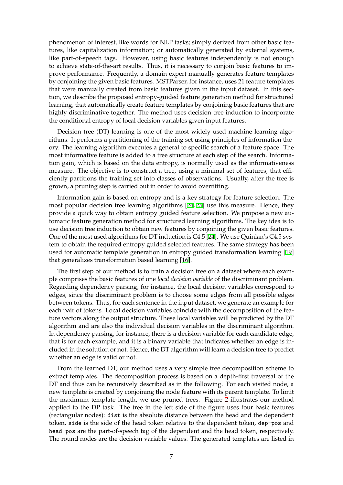phenomenon of interest, like words for NLP tasks; simply derived from other basic features, like capitalization information; or automatically generated by external systems, like part-of-speech tags. However, using basic features independently is not enough to achieve state-of-the-art results. Thus, it is necessary to conjoin basic features to improve performance. Frequently, a domain expert manually generates feature templates by conjoining the given basic features. MSTParser, for instance, uses 21 feature templates that were manually created from basic features given in the input dataset. In this section, we describe the proposed entropy-guided feature generation method for structured learning, that automatically create feature templates by conjoining basic features that are highly discriminative together. The method uses decision tree induction to incorporate the conditional entropy of local decision variables given input features.

Decision tree (DT) learning is one of the most widely used machine learning algorithms. It performs a partitioning of the training set using principles of information theory. The learning algorithm executes a general to specific search of a feature space. The most informative feature is added to a tree structure at each step of the search. Information gain, which is based on the data entropy, is normally used as the informativeness measure. The objective is to construct a tree, using a minimal set of features, that efficiently partitions the training set into classes of observations. Usually, after the tree is grown, a pruning step is carried out in order to avoid overfitting.

Information gain is based on entropy and is a key strategy for feature selection. The most popular decision tree learning algorithms [24, 25] use this measure. Hence, they provide a quick way to obtain entropy guided feature selection. We propose a new automatic feature generation method for structured learning algorithms. The key idea is to use decision tree induction to obtain new features by conjoining the given basic features. One of the most used algorithms for DT induction [is C](#page-18-7)[4.5](#page-18-8) [24]. We use Quinlan's C4.5 system to obtain the required entropy guided selected features. The same strategy has been used for automatic template generation in entropy guided transformation learning [19] that generalizes transformation based learning [16].

The first step of our method is to train a decision tree on a dataset where each example comprises the basic features of one *local decision variable* of the discriminant probl[em](#page-18-9). Regarding dependency parsing, for instance, t[he l](#page-18-0)ocal decision variables correspond to edges, since the discriminant problem is to choose some edges from all possible edges between tokens. Thus, for each sentence in the input dataset, we generate an example for each pair of tokens. Local decision variables coincide with the decomposition of the feature vectors along the output structure. These local variables will be predicted by the DT algorithm and are also the individual decision variables in the discriminant algorithm. In dependency parsing, for instance, there is a decision variable for each candidate edge, that is for each example, and it is a binary variable that indicates whether an edge is included in the solution or not. Hence, the DT algorithm will learn a decision tree to predict whether an edge is valid or not.

From the learned DT, our method uses a very simple tree decomposition scheme to extract templates. The decomposition process is based on a depth-first traversal of the DT and thus can be recursively described as in the following. For each visited node, a new template is created by conjoining the node feature with its parent template. To limit the maximum template length, we use pruned trees. Figure 2 illustrates our method applied to the DP task. The tree in the left side of the figure uses four basic features (rectangular nodes): dist is the absolute distance between the head and the dependent token, side is the side of the head token relative to the dependent token, dep-pos and head-pos are the part-of-speech tag of the dependent and the [h](#page-12-2)ead token, respectively. The round nodes are the decision variable values. The generated templates are listed in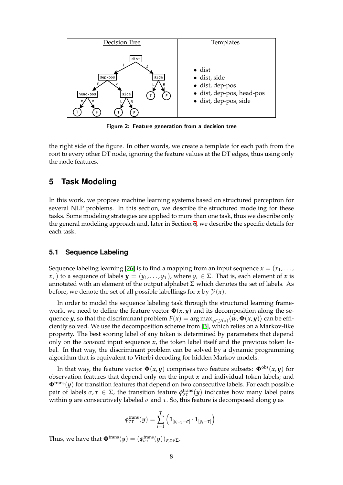<span id="page-12-2"></span>

**Figure 2: Feature generation from a decision tree**

the right side of the figure. In other words, we create a template for each path from the root to every other DT node, ignoring the feature values at the DT edges, thus using only the node features.

# **5 Task Modeling**

<span id="page-12-0"></span>In this work, we propose machine learning systems based on structured perceptron for several NLP problems. In this section, we describe the structured modeling for these tasks. Some modeling strategies are applied to more than one task, thus we describe only the general modeling approach and, later in Section 6, we describe the specific details for each task.

#### **5.1 Sequence Labeling**

<span id="page-12-1"></span>Sequence labeling learning [26] is to find a mapping from an input sequence  $x = (x_1, \ldots, x_n)$ *x*<sup>*T*</sup>) to a sequence of labels *y* = (*y*<sub>1</sub>, . . . , *y*<sup>*T*</sup>), where *y*<sup>*i*</sup> ∈ Σ. That is, each element of *x* is annotated with an element of the output alphabet  $\Sigma$  which denotes the set of labels. As before, we denote the set of [all](#page-19-0) possible labellings for  $x$  by  $\mathcal{Y}(x)$ .

In order to model the sequence labeling task through the structured learning framework, we need to define the feature vector  $\Phi(x, y)$  and its decomposition along the sequence  $y$ , so that the discriminant problem  $F(x) = \argmax_{y \in \mathcal{Y}(x)} \langle w, \bm{\Phi}(x, y) \rangle$  can be efficiently solved. We use the decomposition scheme from [3], which relies on a Markov-like property. The best scoring label of any token is determined by parameters that depend only on the *constant* input sequence *x*, the token label itself and the previous token label. In that way, the discriminant problem can be solved by a dynamic programming algorithm that is equivalent to Viterbi decoding for hid[de](#page-17-2)n Markov models.

In that way, the feature vector  $\Phi(x, y)$  comprises two feature subsets:  $\Phi^{obs}(x, y)$  for observation features that depend only on the input *x* and individual token labels; and  $\Phi^{\text{trans}}(y)$  for transition features that depend on two consecutive labels. For each possible  $\varphi$  pair of labels  $\sigma, \tau \in \Sigma$ , the transition feature  $\phi_{\sigma\tau}^{\text{trans}}(y)$  indicates how many label pairs within *y* are consecutively labeled *σ* and *τ*. So, this feature is decomposed along *y* as

$$
\phi_{\sigma\tau}^{\text{trans}}(\boldsymbol{y}) = \sum_{i=1}^T \left( \mathbf{1}_{[y_{i-1} = \sigma]} \cdot \mathbf{1}_{[y_i = \tau]} \right).
$$

Thus, we have that  $\pmb{\Phi}^{\text{trans}}(\pmb{y}) = (\pmb{\phi}^{\text{trans}}_{\sigma\tau}(\pmb{y}))_{\sigma,\tau\in\Sigma}$ .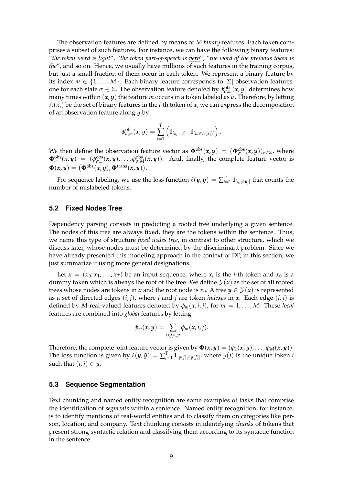The observation features are defined by means of *M binary* features. Each token comprises a subset of such features. For instance, we can have the following binary features: "*the token word is light*", "*the token part-of-speech is verb*", "*the word of the previous token is the*", and so on. Hence, we usually have millions of such features in the training corpus, but just a small fraction of them occur in each token. We represent a binary feature by its index  $m \in \{1, \ldots, M\}$ . Each binary feature corresponds to  $|\Sigma|$  observation features, one for each state  $σ ∈ Σ$ . The observation feature denoted by  $\phi_{σ,m}^{obs}(x, y)$  determines how many times within (*x*, *y*) the feature *m* occurs in a token labeled as *σ*. Therefore, by letting  $\pi(x_i)$  be the set of binary features in the *i*-th token of *x*, we can express the decomposition of an observation feature along *y* by

$$
\phi_{\sigma,m}^{\rm obs}(\boldsymbol{x},\boldsymbol{y})=\sum_{i=1}^T\left(\mathbf{1}_{[y_i=\sigma]}\cdot\mathbf{1}_{[m\in\pi(x_i)]}\right).
$$

We then define the observation feature vector as  $\Phi^{obs}(x, y) = (\Phi_{\sigma}^{obs}(x, y))_{\sigma \in \Sigma}$ , where  $\Phi_{\sigma}^{\rm obs}(x,y) = (\phi_{\sigma,1}^{\rm obs}(x,y), \ldots, \phi_{\sigma,M}^{\rm obs}(x,y)).$  And, finally, the complete feature vector is  $\mathbf{\Phi}(x, y) = (\mathbf{\Phi}^{\text{obs}}(x, y), \mathbf{\Phi}^{\text{trans}}(x, y)).$ 

For sequence labeling, we use the loss function  $\ell(y, \tilde{y}) = \sum_{i=1}^{T} \mathbf{1}_{[y_i \neq \tilde{y}_i]}$  that counts the number of mislabeled tokens.

#### <span id="page-13-0"></span>**5.2 Fixed Nodes Tree**

Dependency parsing consists in predicting a rooted tree underlying a given sentence. The nodes of this tree are always fixed, they are the tokens within the sentence. Thus, we name this type of structure *fixed nodes tree*, in contrast to other structure, which we discuss later, whose nodes must be determined by the discriminant problem. Since we have already presented this modeling approach in the context of DP, in this section, we just summarize it using more general designations.

Let  $\mathbf{x} = (x_0, x_1, \dots, x_T)$  be an input sequence, where  $x_i$  is the *i*-th token and  $x_0$  is a dummy token which is always the root of the tree. We define  $\mathcal{Y}(x)$  as the set of all rooted trees whose nodes are tokens in *x* and the root node is  $x_0$ . A tree  $y \in \mathcal{Y}(x)$  is represented as a set of directed edges (*i*, *j*), where *i* and *j* are token *indexes* in *x*. Each edge (*i*, *j*) is defined by *M* real-valued features denoted by  $\phi_m(x, i, j)$ , for  $m = 1, \ldots, M$ . These *local* features are combined into *global* features by letting

$$
\phi_m(x,y)=\sum_{(i,j)\in y}\phi_m(x,i,j).
$$

Therefore, the complete joint feature vector is given by  $\Phi(x, y) = (\phi_1(x, y), \dots, \phi_M(x, y)).$ The loss function is given by  $\ell(y, \tilde{y}) = \sum_{j=1}^T {\bf 1}_{[y(j) \neq \tilde{y}(j)]}$ , where  $y(j)$  is the unique token *i* such that  $(i, j) \in \mathbf{y}$ .

#### <span id="page-13-1"></span>**5.3 Sequence Segmentation**

Text chunking and named entity recognition are some examples of tasks that comprise the identification of *segments* within a sentence. Named entity recognition, for instance, is to identify mentions of real-world entities and to classify them on categories like person, location, and company. Text chunking consists in identifying *chunks* of tokens that present strong syntactic relation and classifying them according to its syntactic function in the sentence.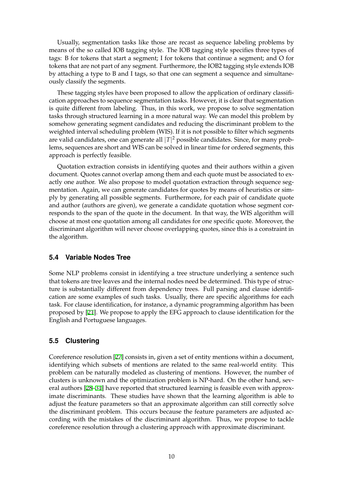Usually, segmentation tasks like those are recast as sequence labeling problems by means of the so called IOB tagging style. The IOB tagging style specifies three types of tags: B for tokens that start a segment; I for tokens that continue a segment; and O for tokens that are not part of any segment. Furthermore, the IOB2 tagging style extends IOB by attaching a type to B and I tags, so that one can segment a sequence and simultaneously classify the segments.

These tagging styles have been proposed to allow the application of ordinary classification approaches to sequence segmentation tasks. However, it is clear that segmentation is quite different from labeling. Thus, in this work, we propose to solve segmentation tasks through structured learning in a more natural way. We can model this problem by somehow generating segment candidates and reducing the discriminant problem to the weighted interval scheduling problem (WIS). If it is not possible to filter which segments are valid candidates, one can generate all *|T|* <sup>2</sup> possible candidates. Since, for many problems, sequences are short and WIS can be solved in linear time for ordered segments, this approach is perfectly feasible.

Quotation extraction consists in identifying quotes and their authors within a given document. Quotes cannot overlap among them and each quote must be associated to exactly one author. We also propose to model quotation extraction through sequence segmentation. Again, we can generate candidates for quotes by means of heuristics or simply by generating all possible segments. Furthermore, for each pair of candidate quote and author (authors are given), we generate a candidate quotation whose segment corresponds to the span of the quote in the document. In that way, the WIS algorithm will choose at most one quotation among all candidates for one specific quote. Moreover, the discriminant algorithm will never choose overlapping quotes, since this is a constraint in the algorithm.

#### **5.4 Variable Nodes Tree**

<span id="page-14-0"></span>Some NLP problems consist in identifying a tree structure underlying a sentence such that tokens are tree leaves and the internal nodes need be determined. This type of structure is substantially different from dependency trees. Full parsing and clause identification are some examples of such tasks. Usually, there are specific algorithms for each task. For clause identification, for instance, a dynamic programming algorithm has been proposed by [21]. We propose to apply the EFG approach to clause identification for the English and Portuguese languages.

#### **5.5 Cluste[rin](#page-18-4)g**

<span id="page-14-1"></span>Coreference resolution [27] consists in, given a set of entity mentions within a document, identifying which subsets of mentions are related to the same real-world entity. This problem can be naturally modeled as clustering of mentions. However, the number of clusters is unknown and the optimization problem is NP-hard. On the other hand, several authors [28–31] ha[ve r](#page-19-1)eported that structured learning is feasible even with approximate discriminants. These studies have shown that the learning algorithm is able to adjust the feature parameters so that an approximate algorithm can still correctly solve the discriminant problem. This occurs because the feature parameters are adjusted according with [th](#page-19-2)[e m](#page-19-3)istakes of the discriminant algorithm. Thus, we propose to tackle coreference resolution through a clustering approach with approximate discriminant.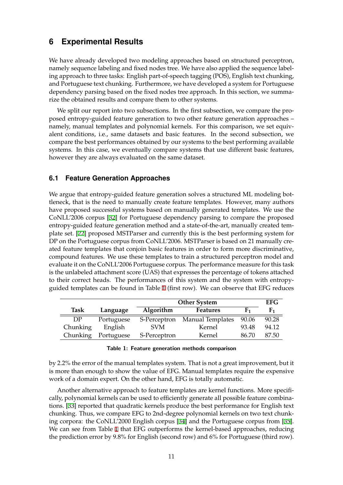# **6 Experimental Results**

<span id="page-15-0"></span>We have already developed two modeling approaches based on structured perceptron, namely sequence labeling and fixed nodes tree. We have also applied the sequence labeling approach to three tasks: English part-of-speech tagging (POS), English text chunking, and Portuguese text chunking. Furthermore, we have developed a system for Portuguese dependency parsing based on the fixed nodes tree approach. In this section, we summarize the obtained results and compare them to other systems.

We split our report into two subsections. In the first subsection, we compare the proposed entropy-guided feature generation to two other feature generation approaches – namely, manual templates and polynomial kernels. For this comparison, we set equivalent conditions, i.e., same datasets and basic features. In the second subsection, we compare the best performances obtained by our systems to the best performing available systems. In this case, we eventually compare systems that use different basic features, however they are always evaluated on the same dataset.

### **6.1 Feature Generation Approaches**

<span id="page-15-1"></span>We argue that entropy-guided feature generation solves a structured ML modeling bottleneck, that is the need to manually create feature templates. However, many authors have proposed successful systems based on manually generated templates. We use the CoNLL'2006 corpus [32] for Portuguese dependency parsing to compare the proposed entropy-guided feature generation method and a state-of-the-art, manually created template set. [22] proposed MSTParser and currently this is the best performing system for DP on the Portuguese corpus from CoNLL'2006. MSTParser is based on 21 manually created feature template[s t](#page-19-4)hat conjoin basic features in order to form more discriminative, compound features. We use these templates to train a structured perceptron model and evaluate it [on](#page-18-5) the CoNLL'2006 Portuguese corpus. The performance measure for this task is the unlabeled attachment score (UAS) that expresses the percentage of tokens attached to their correct heads. The performances of this system and the system with entropyguided templates can be found in Table 1 (first row). We can observe that EFG reduces

<span id="page-15-2"></span>

|          |            | <b>Other System</b> |                         |       | <b>EFG</b> |
|----------|------------|---------------------|-------------------------|-------|------------|
| Task     | Language   | Algorithm           | <b>Features</b>         |       | F1         |
| DP       | Portuguese | S-Perceptron        | <b>Manual Templates</b> | 90.06 | 90.28      |
| Chunking | English    | <b>SVM</b>          | Kernel                  | 93.48 | 94.12      |
| Chunking | Portuguese | S-Perceptron        | Kernel                  | 86.70 | 87.50      |

#### **Table 1: Feature generation methods comparison**

by 2.2% the error of the manual templates system. That is not a great improvement, but it is more than enough to show the value of EFG. Manual templates require the expensive work of a domain expert. On the other hand, EFG is totally automatic.

Another alternative approach to feature templates are kernel functions. More specifically, polynomial kernels can be used to efficiently generate all possible feature combinations. [33] reported that quadratic kernels produce the best performance for English text chunking. Thus, we compare EFG to 2nd-degree polynomial kernels on two text chunking corpora: the CoNLL'2000 English corpus [34] and the Portuguese corpus from [35]. We can see from Table 1 that EFG outperforms the kernel-based approaches, reducing the pr[edic](#page-19-5)tion error by 9.8% for English (second row) and 6% for Portuguese (third row).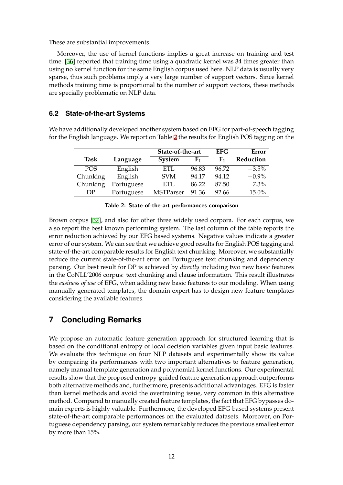These are substantial improvements.

Moreover, the use of kernel functions implies a great increase on training and test time. [36] reported that training time using a quadratic kernel was 34 times greater than using no kernel function for the same English corpus used here. NLP data is usually very sparse, thus such problems imply a very large number of support vectors. Since kernel methods training time is proportional to the number of support vectors, these methods are sp[ecia](#page-19-6)lly problematic on NLP data.

# **6.2 State-of-the-art Systems**

<span id="page-16-0"></span>We have additionally developed another system based on EFG for part-of-speech tagging for the English language. We report on Table 2 the results for English POS tagging on the

<span id="page-16-1"></span>

|             |            | State-of-the-art |             | <b>EFG</b> | Error     |
|-------------|------------|------------------|-------------|------------|-----------|
| <b>Task</b> | Language   | System           | ${\bf F_1}$ | F1         | Reduction |
| <b>POS</b>  | English    | <b>ETL</b>       | 96.83       | 96.72      | $-3.5%$   |
| Chunking    | English    | <b>SVM</b>       | 94.17       | 94.12      | $-0.9\%$  |
| Chunking    | Portuguese | ETL              | 86.22       | 87.50      | $7.3\%$   |
| DР          | Portuguese | <b>MSTParser</b> | 91.36       | 92.66      | 15.0%     |

|  | Table 2: State-of-the-art performances comparison |  |  |
|--|---------------------------------------------------|--|--|
|--|---------------------------------------------------|--|--|

Brown corpus [37], and also for other three widely used corpora. For each corpus, we also report the best known performing system. The last column of the table reports the error reduction achieved by our EFG based systems. Negative values indicate a greater error of our system. We can see that we achieve good results for English POS tagging and state-of-the-art [com](#page-20-0)parable results for English text chunking. Moreover, we substantially reduce the current state-of-the-art error on Portuguese text chunking and dependency parsing. Our best result for DP is achieved by *directly* including two new basic features in the CoNLL'2006 corpus: text chunking and clause information. This result illustrates the *easiness of use* of EFG, when adding new basic features to our modeling. When using manually generated templates, the domain expert has to design new feature templates considering the available features.

# **7 Concluding Remarks**

We propose an automatic feature generation approach for structured learning that is based on the conditional entropy of local decision variables given input basic features. We evaluate this technique on four NLP datasets and experimentally show its value by comparing its performances with two important alternatives to feature generation, namely manual template generation and polynomial kernel functions. Our experimental results show that the proposed entropy-guided feature generation approach outperforms both alternative methods and, furthermore, presents additional advantages. EFG is faster than kernel methods and avoid the overtraining issue, very common in this alternative method. Compared to manually created feature templates, the fact that EFG bypasses domain experts is highly valuable. Furthermore, the developed EFG-based systems present state-of-the-art comparable performances on the evaluated datasets. Moreover, on Portuguese dependency parsing, our system remarkably reduces the previous smallest error by more than 15%.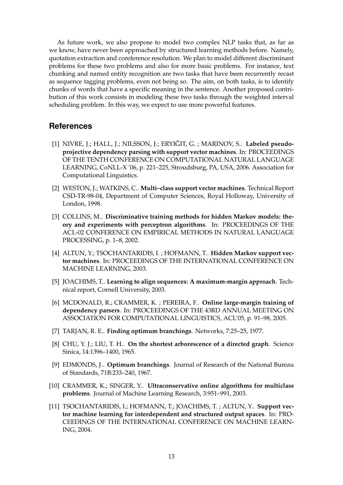As future work, we also propose to model two complex NLP tasks that, as far as we know, have never been approached by structured learning methods before. Namely, quotation extraction and coreference resolution. We plan to model different discriminant problems for these two problems and also for more basic problems. For instance, text chunking and named entity recognition are two tasks that have been recurrently recast as sequence tagging problems, even not being so. The aim, on both tasks, is to identify chunks of words that have a specific meaning in the sentence. Another proposed contribution of this work consists in modeling these two tasks through the weighted interval scheduling problem. In this way, we expect to use more powerful features.

# **References**

- <span id="page-17-0"></span>[1] NIVRE, J.; HALL, J.; NILSSON, J.; ERYIĞIT, G. ; MARINOV, S.. Labeled pseudo**projective dependency parsing with support vector machines**. In: PROCEEDINGS OF THE TENTH CONFERENCE ON COMPUTATIONAL NATURAL LANGUAGE LEARNING, CoNLL-X '06, p. 221–225, Stroudsburg, PA, USA, 2006. Association for Computational Linguistics.
- <span id="page-17-1"></span>[2] WESTON, J.; WATKINS, C.. **Multi–class support vector machines**. Technical Report CSD-TR-98-04, Department of Computer Sciences, Royal Holloway, University of London, 1998.
- <span id="page-17-2"></span>[3] COLLINS, M.. **Discriminative training methods for hidden Markov models: theory and experiments with perceptron algorithms**. In: PROCEEDINGS OF THE ACL-02 CONFERENCE ON EMPIRICAL METHODS IN NATURAL LANGUAGE PROCESSING, p. 1–8, 2002.
- <span id="page-17-3"></span>[4] ALTUN, Y.; TSOCHANTARIDIS, I. ; HOFMANN, T.. **Hidden Markov support vector machines**. In: PROCEEDINGS OF THE INTERNATIONAL CONFERENCE ON MACHINE LEARNING, 2003.
- <span id="page-17-4"></span>[5] JOACHIMS, T.. **Learning to align sequences: A maximum-margin approach**. Technical report, Cornell University, 2003.
- <span id="page-17-5"></span>[6] MCDONALD, R.; CRAMMER, K. ; PEREIRA, F.. **Online large-margin training of dependency parsers**. In: PROCEEDINGS OF THE 43RD ANNUAL MEETING ON ASSOCIATION FOR COMPUTATIONAL LINGUISTICS, ACL'05, p. 91–98, 2005.
- <span id="page-17-8"></span>[7] TARJAN, R. E.. **Finding optimum branchings**. Networks, 7:25–25, 1977.
- <span id="page-17-6"></span>[8] CHU, Y. J.; LIU, T. H.. **On the shortest arborescence of a directed graph**. Science Sinica, 14:1396–1400, 1965.
- <span id="page-17-7"></span>[9] EDMONDS, J.. **Optimum branchings**. Journal of Research of the National Bureau of Standards, 71B:233–240, 1967.
- <span id="page-17-9"></span>[10] CRAMMER, K.; SINGER, Y.. **Ultraconservative online algorithms for multiclass problems**. Journal of Machine Learning Research, 3:951–991, 2003.
- <span id="page-17-10"></span>[11] TSOCHANTARIDIS, I.; HOFMANN, T.; JOACHIMS, T. ; ALTUN, Y.. **Support vector machine learning for interdependent and structured output spaces**. In: PRO-CEEDINGS OF THE INTERNATIONAL CONFERENCE ON MACHINE LEARN-ING, 2004.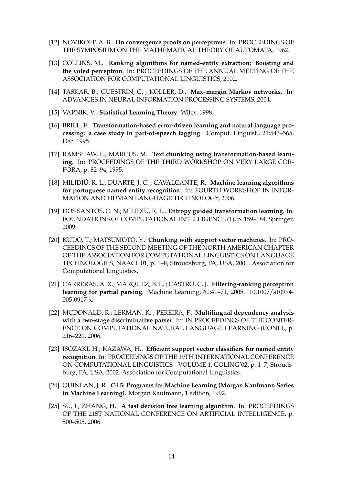- [12] NOVIKOFF, A. B.. **On convergence proofs on perceptrons**. In: PROCEEDINGS OF THE SYMPOSIUM ON THE MATHEMATICAL THEORY OF AUTOMATA, 1962.
- [13] COLLINS, M.. **Ranking algorithms for named-entity extraction: Boosting and the voted perceptron**. In: PROCEEDINGS OF THE ANNUAL MEETING OF THE ASSOCIATION FOR COMPUTATIONAL LINGUISTICS, 2002.
- [14] TASKAR, B.; GUESTRIN, C. ; KOLLER, D.. **Max–margin Markov networks**. In: ADVANCES IN NEURAL INFORMATION PROCESSING SYSTEMS, 2004.
- [15] VAPNIK, V.. **Statistical Learning Theory**. Wiley, 1998.
- <span id="page-18-0"></span>[16] BRILL, E.. **Transformation-based error-driven learning and natural language processing: a case study in part-of-speech tagging**. Comput. Linguist., 21:543–565, Dec. 1995.
- <span id="page-18-1"></span>[17] RAMSHAW, L.; MARCUS, M.. **Text chunking using transformation-based learning**. In: PROCEEDINGS OF THE THIRD WORKSHOP ON VERY LARGE COR-PORA, p. 82–94, 1995.
- <span id="page-18-2"></span>[18] MILIDIU, R. L.; DUARTE, J. C. ; CAVALCANTE, R.. ´ **Machine learning algorithms for portuguese named entity recognition**. In: FOURTH WORKSHOP IN INFOR-MATION AND HUMAN LANGUAGE TECHNOLOGY, 2006.
- <span id="page-18-9"></span>[19] DOS SANTOS, C. N.; MILIDIU, R. L.. ´ **Entropy guided transformation learning**. In: FOUNDATIONS OF COMPUTATIONAL INTELLIGENCE (1), p. 159–184. Springer, 2009.
- <span id="page-18-3"></span>[20] KUDO, T.; MATSUMOTO, Y.. **Chunking with support vector machines**. In: PRO-CEEDINGS OF THE SECOND MEETING OF THE NORTH AMERICAN CHAPTER OF THE ASSOCIATION FOR COMPUTATIONAL LINGUISTICS ON LANGUAGE TECHNOLOGIES, NAACL'01, p. 1–8, Stroudsburg, PA, USA, 2001. Association for Computational Linguistics.
- <span id="page-18-4"></span>[21] CARRERAS, A. X.; MÀRQUEZ, B. L.; CASTRO, C. J.. **Filtering-ranking perceptron learning for partial parsing**. Machine Learning, 60:41–71, 2005. 10.1007/s10994- 005-0917-x.
- <span id="page-18-5"></span>[22] MCDONALD, R.; LERMAN, K. ; PEREIRA, F.. **Multilingual dependency analysis with a two-stage discriminative parser**. In: IN PROCEEDINGS OF THE CONFER-ENCE ON COMPUTATIONAL NATURAL LANGUAGE LEARNING (CONLL, p. 216–220, 2006.
- <span id="page-18-6"></span>[23] ISOZAKI, H.; KAZAWA, H.. **Efficient support vector classifiers for named entity recognition**. In: PROCEEDINGS OF THE 19TH INTERNATIONAL CONFERENCE ON COMPUTATIONAL LINGUISTICS - VOLUME 1, COLING'02, p. 1–7, Stroudsburg, PA, USA, 2002. Association for Computational Linguistics.
- <span id="page-18-7"></span>[24] QUINLAN, J. R.. **C4.5: Programs for Machine Learning (Morgan Kaufmann Series in Machine Learning)**. Morgan Kaufmann, 1 edition, 1992.
- <span id="page-18-8"></span>[25] SU, J.; ZHANG, H.. **A fast decision tree learning algorithm**. In: PROCEEDINGS OF THE 21ST NATIONAL CONFERENCE ON ARTIFICIAL INTELLIGENCE, p. 500–505, 2006.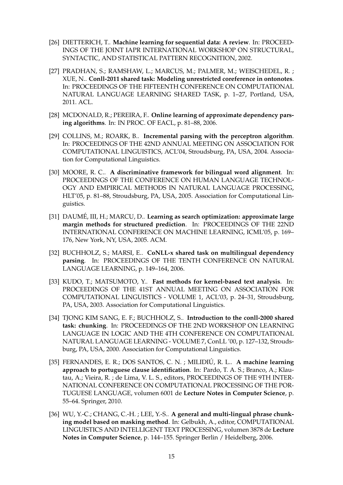- <span id="page-19-0"></span>[26] DIETTERICH, T.. **Machine learning for sequential data: A review**. In: PROCEED-INGS OF THE JOINT IAPR INTERNATIONAL WORKSHOP ON STRUCTURAL, SYNTACTIC, AND STATISTICAL PATTERN RECOGNITION, 2002.
- <span id="page-19-1"></span>[27] PRADHAN, S.; RAMSHAW, L.; MARCUS, M.; PALMER, M.; WEISCHEDEL, R. ; XUE, N.. **Conll-2011 shared task: Modeling unrestricted coreference in ontonotes**. In: PROCEEDINGS OF THE FIFTEENTH CONFERENCE ON COMPUTATIONAL NATURAL LANGUAGE LEARNING SHARED TASK, p. 1–27, Portland, USA, 2011. ACL.
- <span id="page-19-2"></span>[28] MCDONALD, R.; PEREIRA, F.. **Online learning of approximate dependency parsing algorithms**. In: IN PROC. OF EACL, p. 81–88, 2006.
- [29] COLLINS, M.; ROARK, B.. **Incremental parsing with the perceptron algorithm**. In: PROCEEDINGS OF THE 42ND ANNUAL MEETING ON ASSOCIATION FOR COMPUTATIONAL LINGUISTICS, ACL'04, Stroudsburg, PA, USA, 2004. Association for Computational Linguistics.
- [30] MOORE, R. C.. **A discriminative framework for bilingual word alignment**. In: PROCEEDINGS OF THE CONFERENCE ON HUMAN LANGUAGE TECHNOL-OGY AND EMPIRICAL METHODS IN NATURAL LANGUAGE PROCESSING, HLT'05, p. 81–88, Stroudsburg, PA, USA, 2005. Association for Computational Linguistics.
- <span id="page-19-3"></span>[31] DAUMÉ, III, H.; MARCU, D... Learning as search optimization: approximate large **margin methods for structured prediction**. In: PROCEEDINGS OF THE 22ND INTERNATIONAL CONFERENCE ON MACHINE LEARNING, ICML'05, p. 169– 176, New York, NY, USA, 2005. ACM.
- <span id="page-19-4"></span>[32] BUCHHOLZ, S.; MARSI, E.. **CoNLL-x shared task on multilingual dependency parsing**. In: PROCEEDINGS OF THE TENTH CONFERENCE ON NATURAL LANGUAGE LEARNING, p. 149–164, 2006.
- <span id="page-19-5"></span>[33] KUDO, T.; MATSUMOTO, Y.. **Fast methods for kernel-based text analysis**. In: PROCEEDINGS OF THE 41ST ANNUAL MEETING ON ASSOCIATION FOR COMPUTATIONAL LINGUISTICS - VOLUME 1, ACL'03, p. 24–31, Stroudsburg, PA, USA, 2003. Association for Computational Linguistics.
- [34] TJONG KIM SANG, E. F.; BUCHHOLZ, S.. **Introduction to the conll-2000 shared task: chunking**. In: PROCEEDINGS OF THE 2ND WORKSHOP ON LEARNING LANGUAGE IN LOGIC AND THE 4TH CONFERENCE ON COMPUTATIONAL NATURAL LANGUAGE LEARNING - VOLUME 7, ConLL '00, p. 127–132, Stroudsburg, PA, USA, 2000. Association for Computational Linguistics.
- [35] FERNANDES, E. R.; DOS SANTOS, C. N.; MILIDIÚ, R. L.. **A machine learning approach to portuguese clause identification**. In: Pardo, T. A. S.; Branco, A.; Klautau, A.; Vieira, R. ; de Lima, V. L. S., editors, PROCEEDINGS OF THE 9TH INTER-NATIONAL CONFERENCE ON COMPUTATIONAL PROCESSING OF THE POR-TUGUESE LANGUAGE, volumen 6001 de **Lecture Notes in Computer Science**, p. 55–64. Springer, 2010.
- <span id="page-19-6"></span>[36] WU, Y.-C.; CHANG, C.-H. ; LEE, Y.-S.. **A general and multi-lingual phrase chunking model based on masking method**. In: Gelbukh, A., editor, COMPUTATIONAL LINGUISTICS AND INTELLIGENT TEXT PROCESSING, volumen 3878 de **Lecture Notes in Computer Science**, p. 144–155. Springer Berlin / Heidelberg, 2006.